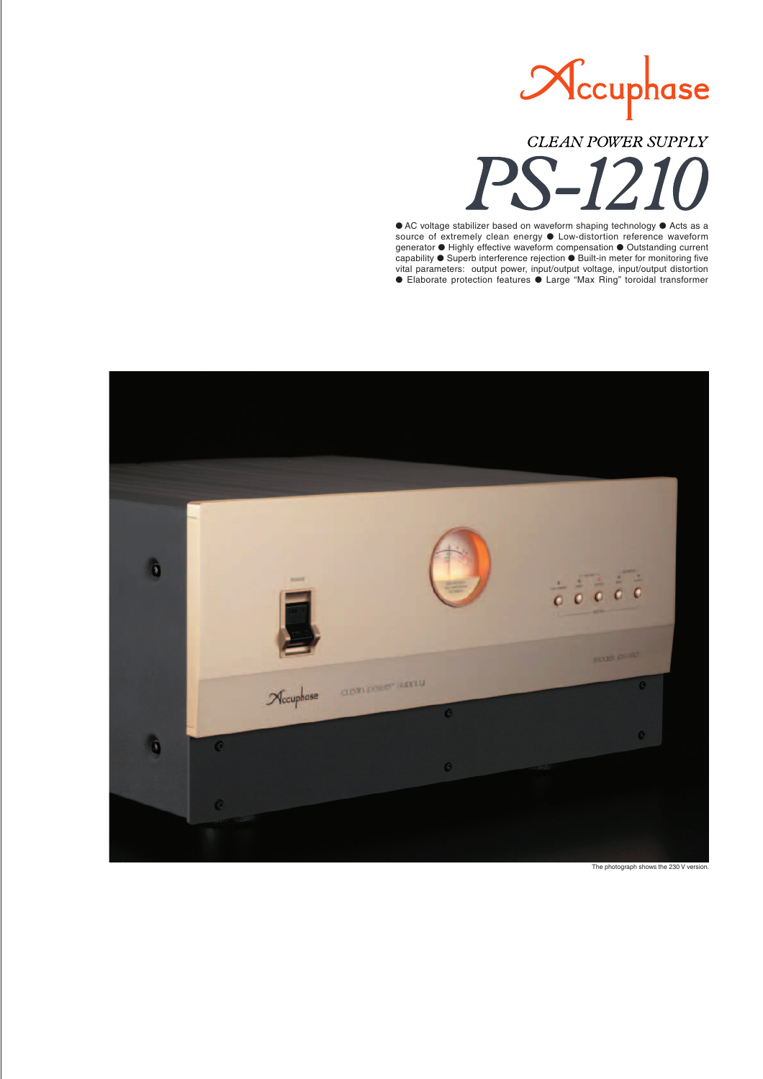

**CLEAN POWER SUPPLY** 

● AC voltage stabilizer based on waveform shaping technology ● Acts as a source of extremely clean energy ● Low-distortion reference waveform generator ● Highly effective waveform compensation ● Outstanding current capability ● Superb interference rejection ● Built-in meter for monitoring five vital parameters: output power, input/output voltage, input/output distortion ● Elaborate protection features ● Large "Max Ring" toroidal transformer



The photograph shows the 230 V version.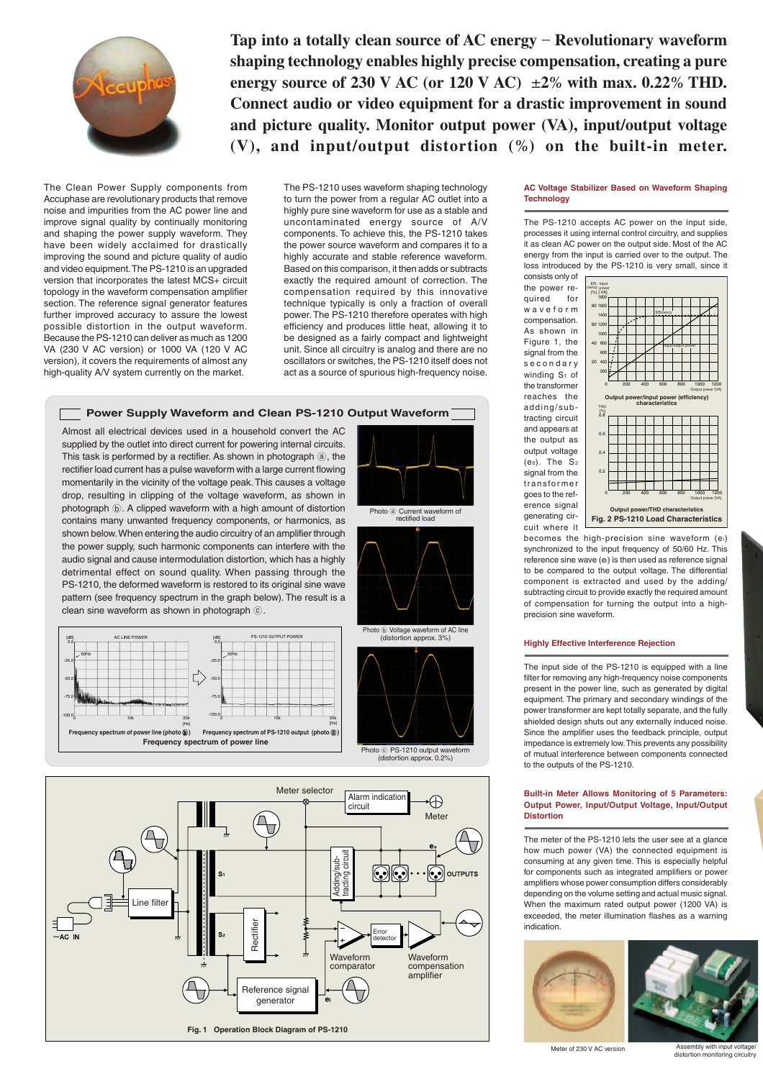

**Tap into a totally clean source of AC energy** – **Revolutionary waveform shaping technology enables highly precise compensation, creating a pure energy source of 230 V AC (or 120 V AC)**  $\pm 2\%$  with max. 0.22% THD. **Connect audio or video equipment for a drastic improvement in sound and picture quality. Monitor output power (VA), input/output voltage (V), and input/output distortion (***%***) on the built-in meter.**

The Clean Power Supply components from Accuphase are revolutionary products that remove noise and impurities from the AC power line and improve signal quality by continually monitoring and shaping the power supply waveform. They have been widely acclaimed for drastically improving the sound and picture quality of audio and video equipment. The PS-1210 is an upgraded version that incorporates the latest MCS+ circuit topology in the waveform compensation amplifier section. The reference signal generator features further improved accuracy to assure the lowest possible distortion in the output waveform. Because the PS-1210 can deliver as much as 1200 VA (230 V AC version) or 1000 VA (120 V AC version), it covers the requirements of almost any high-quality A/V system currently on the market.

The PS-1210 uses waveform shaping technology to turn the power from a regular AC outlet into a highly pure sine waveform for use as a stable and uncontaminated energy source of A/V components. To achieve this, the PS-1210 takes the power source waveform and compares it to a highly accurate and stable reference waveform. Based on this comparison, it then adds or subtracts exactly the required amount of correction. The compensation required by this innovative technique typically is only a fraction of overall power. The PS-1210 therefore operates with high efficiency and produces little heat, allowing it to be designed as a fairly compact and lightweight unit. Since all circuitry is analog and there are no oscillators or switches, the PS-1210 itself does not act as a source of spurious high-frequency noise.

(distortion approx. 0.2%)







#### **AC Voltage Stabilizer Based on Waveform Shaping Technology**

The PS-1210 accepts AC power on the input side, processes it using internal control circuitry, and supplies it as clean AC power on the output side. Most of the AC energy from the input is carried over to the output. The loss introduced by the PS-1210 is very small, since it consists only of

the power required for waveform compensation. As shown in Figure 1, the signal from the secondary winding  $S_1$  of the transformer reaches the adding/subtracting circuit and appears at the output as output voltage (eo). The  $S_2$ signal from the transformer goes to the reference signal generating circuit where it



becomes the high-precision sine waveform (ei) synchronized to the input frequency of 50/60 Hz. This reference sine wave (ei) is then used as reference signal to be compared to the output voltage. The differential component is extracted and used by the adding/ subtracting circuit to provide exactly the required amount of compensation for turning the output into a highprecision sine waveform.

#### **Highly Effective Interference Rejection**

The input side of the PS-1210 is equipped with a line filter for removing any high-frequency noise components present in the power line, such as generated by digital equipment. The primary and secondary windings of the power transformer are kept totally separate, and the fully shielded design shuts out any externally induced noise. Since the amplifier uses the feedback principle, output impedance is extremely low. This prevents any possibility of mutual interference between components connected to the outputs of the PS-1210.

#### **Built-in Meter Allows Monitoring of 5 Parameters: Output Power, Input/Output Voltage, Input/Output Distortion**

The meter of the PS-1210 lets the user see at a glance how much power (VA) the connected equipment is consuming at any given time. This is especially helpful for components such as integrated amplifiers or power amplifiers whose power consumption differs considerably depending on the volume setting and actual music signal. When the maximum rated output power (1200 VA) is exceeded, the meter illumination flashes as a warning indication.





bly with input Meter of 230 V AC version<br>distortion monitoring circuitry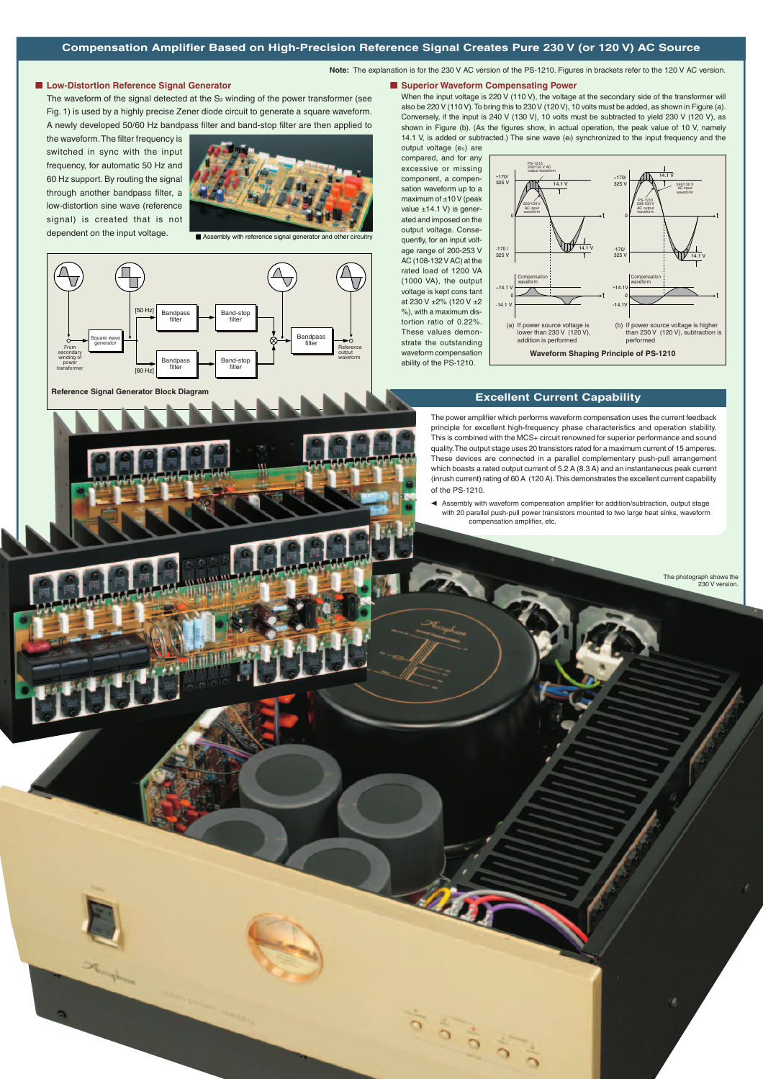**Note:** The explanation is for the 230 V AC version of the PS-1210. Figures in brackets refer to the 120 V AC version.

#### ■ Low-Distortion Reference Signal Generator

The waveform of the signal detected at the  $S_2$  winding of the power transformer (see Fig. 1) is used by a highly precise Zener diode circuit to generate a square waveform. A newly developed 50/60 Hz bandpass filter and band-stop filter are then applied to

the waveform. The filter frequency is switched in sync with the input frequency, for automatic 50 Hz and 60 Hz support. By routing the signal through another bandpass filter, a low-distortion sine wave (reference signal) is created that is not dependent on the input voltage.



■ Assembly with reference signal generator and other



■ Superior Waveform Compensating Power When the input voltage is 220 V (110 V), the voltage at the secondary side of the transformer will also be 220 V (110 V). To bring this to 230 V (120 V), 10 volts must be added, as shown in Figure (a). Conversely, if the input is 240 V (130 V), 10 volts must be subtracted to yield 230 V (120 V), as shown in Figure (b). (As the figures show, in actual operation, the peak value of 10 V, namely 14.1 V, is added or subtracted.) The sine wave (ei) synchronized to the input frequency and the

output voltage (eo) are compared, and for any excessive or missing component, a compensation waveform up to a maximum of ±10 V (peak value  $±14.1$  V) is generated and imposed on the output voltage. Consequently, for an input voltage range of 200-253 V AC (108-132 V AC) at the rated load of 1200 VA (1000 VA), the output voltage is kept cons tant at 230 V  $\pm$ 2% (120 V  $\pm$ 2 %), with a maximum distortion ratio of 0.22%. These values demonstrate the outstanding waveform compensation ability of the PS-1210.



# **Reference Signal Generator Block Diagram Excellent Current Capability**

The power amplifier which performs waveform compensation uses the current feedback principle for excellent high-frequency phase characteristics and operation stability. This is combined with the MCS+ circuit renowned for superior performance and sound quality. The output stage uses 20 transistors rated for a maximum current of 15 amperes. These devices are connected in a parallel complementary push-pull arrangement which boasts a rated output current of 5.2 A (8.3 A) and an instantaneous peak current (inrush current) rating of 60 A (120 A). This demonstrates the excellent current capability of the PS-1210.

Assembly with waveform compensation amplifier for addition/subtraction, output stage with 20 parallel push-pull power transistors mounted to two large heat sinks, waveform compensation amplifier, etc.

> The photograph shows the 230 V version.

ø